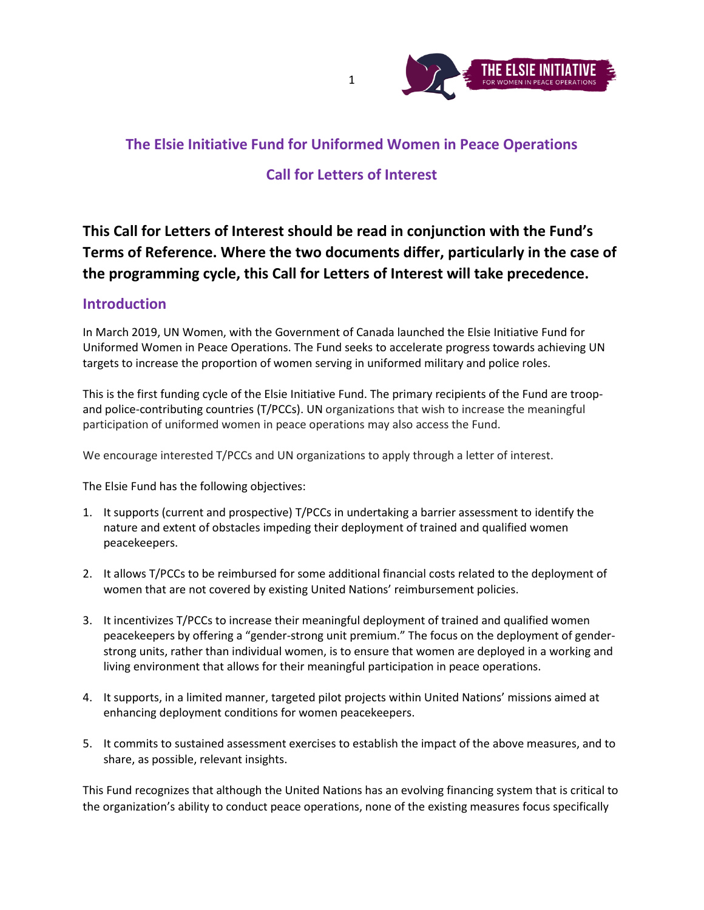

## **The Elsie Initiative Fund for Uniformed Women in Peace Operations**

# **Call for Letters of Interest**

**This Call for Letters of Interest should be read in conjunction with the Fund's Terms of Reference. Where the two documents differ, particularly in the case of the programming cycle, this Call for Letters of Interest will take precedence.**

#### **Introduction**

In March 2019, UN Women, with the Government of Canada launched the Elsie Initiative Fund for Uniformed Women in Peace Operations. The Fund seeks to accelerate progress towards achieving UN targets to increase the proportion of women serving in uniformed military and police roles.

This is the first funding cycle of the Elsie Initiative Fund. The primary recipients of the Fund are troopand police-contributing countries (T/PCCs). UN organizations that wish to increase the meaningful participation of uniformed women in peace operations may also access the Fund.

We encourage interested T/PCCs and UN organizations to apply through a letter of interest.

The Elsie Fund has the following objectives:

- 1. It supports (current and prospective) T/PCCs in undertaking a barrier assessment to identify the nature and extent of obstacles impeding their deployment of trained and qualified women peacekeepers.
- 2. It allows T/PCCs to be reimbursed for some additional financial costs related to the deployment of women that are not covered by existing United Nations' reimbursement policies.
- 3. It incentivizes T/PCCs to increase their meaningful deployment of trained and qualified women peacekeepers by offering a "gender-strong unit premium." The focus on the deployment of genderstrong units, rather than individual women, is to ensure that women are deployed in a working and living environment that allows for their meaningful participation in peace operations.
- 4. It supports, in a limited manner, targeted pilot projects within United Nations' missions aimed at enhancing deployment conditions for women peacekeepers.
- 5. It commits to sustained assessment exercises to establish the impact of the above measures, and to share, as possible, relevant insights.

This Fund recognizes that although the United Nations has an evolving financing system that is critical to the organization's ability to conduct peace operations, none of the existing measures focus specifically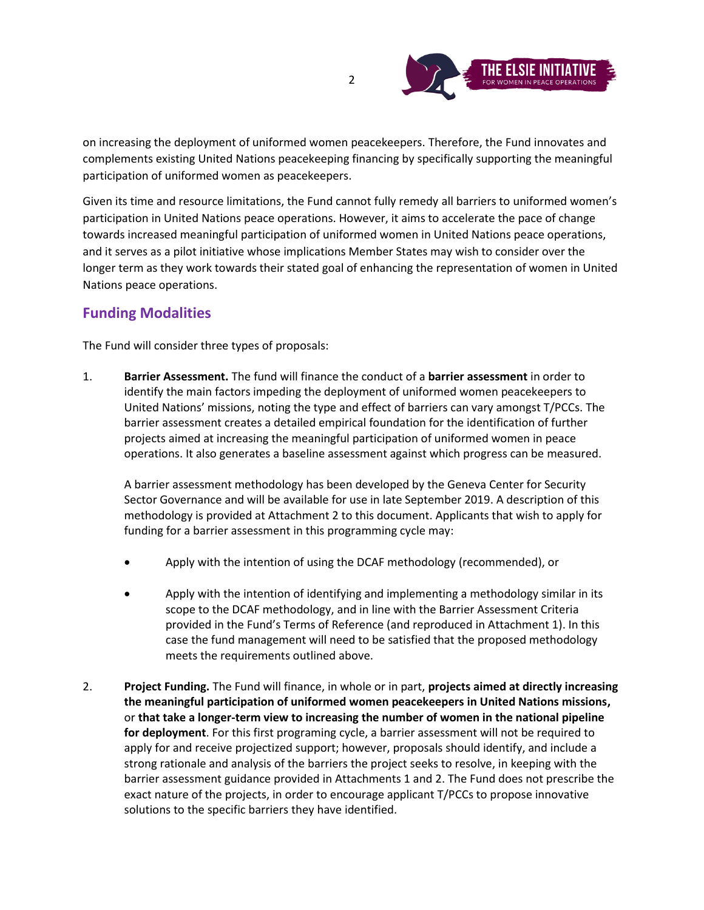

on increasing the deployment of uniformed women peacekeepers. Therefore, the Fund innovates and complements existing United Nations peacekeeping financing by specifically supporting the meaningful participation of uniformed women as peacekeepers.

Given its time and resource limitations, the Fund cannot fully remedy all barriers to uniformed women's participation in United Nations peace operations. However, it aims to accelerate the pace of change towards increased meaningful participation of uniformed women in United Nations peace operations, and it serves as a pilot initiative whose implications Member States may wish to consider over the longer term as they work towards their stated goal of enhancing the representation of women in United Nations peace operations.

# **Funding Modalities**

The Fund will consider three types of proposals:

1. **Barrier Assessment.** The fund will finance the conduct of a **barrier assessment** in order to identify the main factors impeding the deployment of uniformed women peacekeepers to United Nations' missions, noting the type and effect of barriers can vary amongst T/PCCs. The barrier assessment creates a detailed empirical foundation for the identification of further projects aimed at increasing the meaningful participation of uniformed women in peace operations. It also generates a baseline assessment against which progress can be measured.

A barrier assessment methodology has been developed by the Geneva Center for Security Sector Governance and will be available for use in late September 2019. A description of this methodology is provided at Attachment 2 to this document. Applicants that wish to apply for funding for a barrier assessment in this programming cycle may:

- Apply with the intention of using the DCAF methodology (recommended), or
- Apply with the intention of identifying and implementing a methodology similar in its scope to the DCAF methodology, and in line with the Barrier Assessment Criteria provided in the Fund's Terms of Reference (and reproduced in Attachment 1). In this case the fund management will need to be satisfied that the proposed methodology meets the requirements outlined above.
- 2. **Project Funding.** The Fund will finance, in whole or in part, **projects aimed at directly increasing the meaningful participation of uniformed women peacekeepers in United Nations missions,** or **that take a longer-term view to increasing the number of women in the national pipeline for deployment**. For this first programing cycle, a barrier assessment will not be required to apply for and receive projectized support; however, proposals should identify, and include a strong rationale and analysis of the barriers the project seeks to resolve, in keeping with the barrier assessment guidance provided in Attachments 1 and 2. The Fund does not prescribe the exact nature of the projects, in order to encourage applicant T/PCCs to propose innovative solutions to the specific barriers they have identified.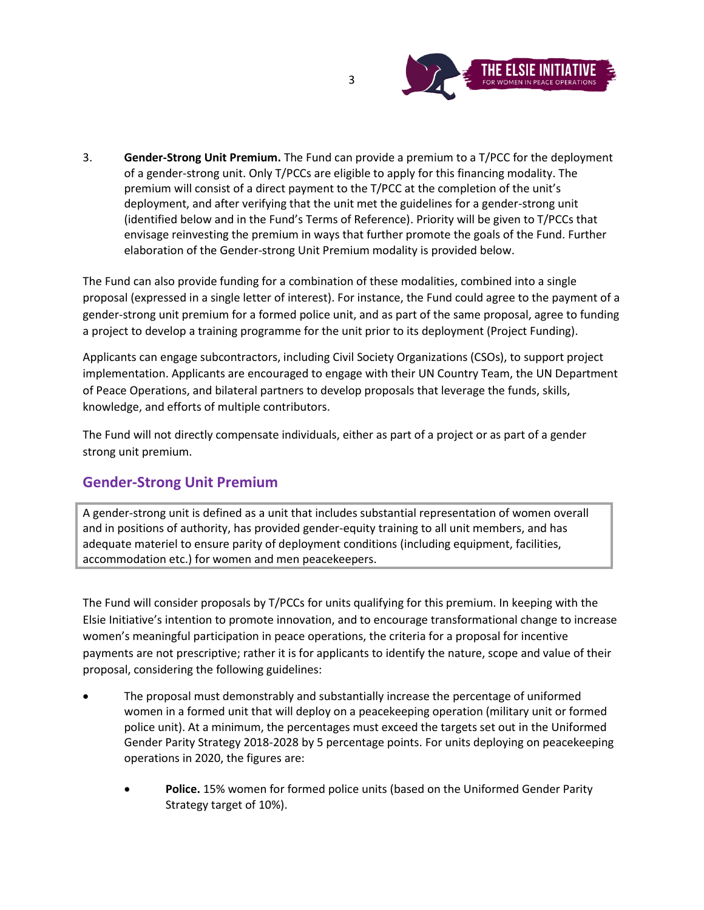

3. **Gender-Strong Unit Premium.** The Fund can provide a premium to a T/PCC for the deployment of a gender-strong unit. Only T/PCCs are eligible to apply for this financing modality. The premium will consist of a direct payment to the T/PCC at the completion of the unit's deployment, and after verifying that the unit met the guidelines for a gender-strong unit (identified below and in the Fund's Terms of Reference). Priority will be given to T/PCCs that envisage reinvesting the premium in ways that further promote the goals of the Fund. Further elaboration of the Gender-strong Unit Premium modality is provided below.

The Fund can also provide funding for a combination of these modalities, combined into a single proposal (expressed in a single letter of interest). For instance, the Fund could agree to the payment of a gender-strong unit premium for a formed police unit, and as part of the same proposal, agree to funding a project to develop a training programme for the unit prior to its deployment (Project Funding).

Applicants can engage subcontractors, including Civil Society Organizations (CSOs), to support project implementation. Applicants are encouraged to engage with their UN Country Team, the UN Department of Peace Operations, and bilateral partners to develop proposals that leverage the funds, skills, knowledge, and efforts of multiple contributors.

The Fund will not directly compensate individuals, either as part of a project or as part of a gender strong unit premium.

# **Gender-Strong Unit Premium**

A gender-strong unit is defined as a unit that includes substantial representation of women overall and in positions of authority, has provided gender-equity training to all unit members, and has adequate materiel to ensure parity of deployment conditions (including equipment, facilities, accommodation etc.) for women and men peacekeepers.

The Fund will consider proposals by T/PCCs for units qualifying for this premium. In keeping with the Elsie Initiative's intention to promote innovation, and to encourage transformational change to increase women's meaningful participation in peace operations, the criteria for a proposal for incentive payments are not prescriptive; rather it is for applicants to identify the nature, scope and value of their proposal, considering the following guidelines:

- The proposal must demonstrably and substantially increase the percentage of uniformed women in a formed unit that will deploy on a peacekeeping operation (military unit or formed police unit). At a minimum, the percentages must exceed the targets set out in the Uniformed Gender Parity Strategy 2018-2028 by 5 percentage points. For units deploying on peacekeeping operations in 2020, the figures are:
	- Police. 15% women for formed police units (based on the Uniformed Gender Parity Strategy target of 10%).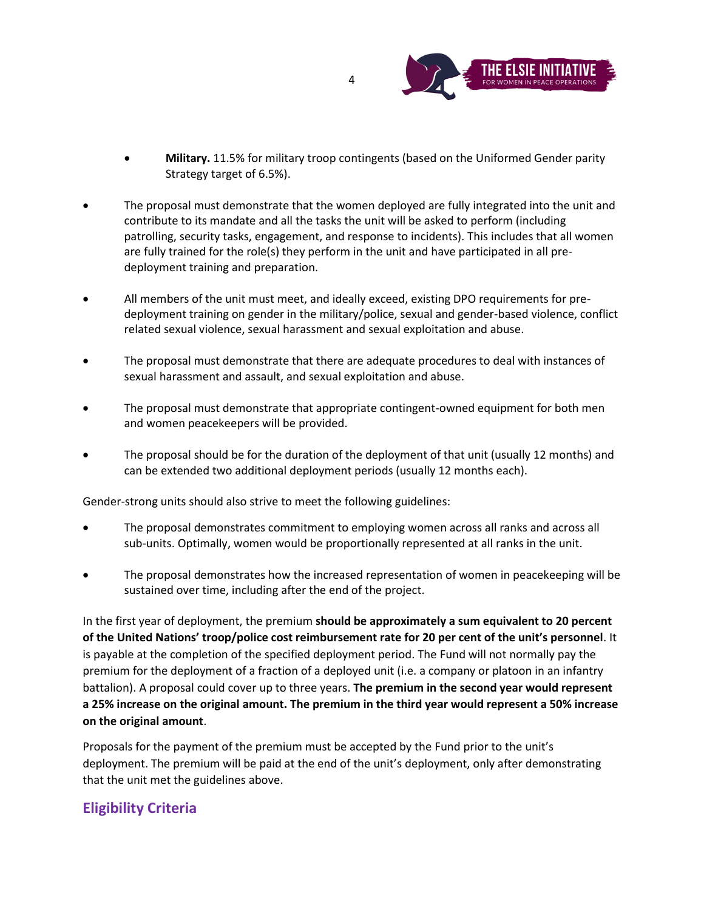

- **Military.** 11.5% for military troop contingents (based on the Uniformed Gender parity Strategy target of 6.5%).
- The proposal must demonstrate that the women deployed are fully integrated into the unit and contribute to its mandate and all the tasks the unit will be asked to perform (including patrolling, security tasks, engagement, and response to incidents). This includes that all women are fully trained for the role(s) they perform in the unit and have participated in all predeployment training and preparation.
- All members of the unit must meet, and ideally exceed, existing DPO requirements for predeployment training on gender in the military/police, sexual and gender-based violence, conflict related sexual violence, sexual harassment and sexual exploitation and abuse.
- The proposal must demonstrate that there are adequate procedures to deal with instances of sexual harassment and assault, and sexual exploitation and abuse.
- The proposal must demonstrate that appropriate contingent-owned equipment for both men and women peacekeepers will be provided.
- The proposal should be for the duration of the deployment of that unit (usually 12 months) and can be extended two additional deployment periods (usually 12 months each).

Gender-strong units should also strive to meet the following guidelines:

- The proposal demonstrates commitment to employing women across all ranks and across all sub-units. Optimally, women would be proportionally represented at all ranks in the unit.
- The proposal demonstrates how the increased representation of women in peacekeeping will be sustained over time, including after the end of the project.

In the first year of deployment, the premium **should be approximately a sum equivalent to 20 percent of the United Nations' troop/police cost reimbursement rate for 20 per cent of the unit's personnel**. It is payable at the completion of the specified deployment period. The Fund will not normally pay the premium for the deployment of a fraction of a deployed unit (i.e. a company or platoon in an infantry battalion). A proposal could cover up to three years. **The premium in the second year would represent a 25% increase on the original amount. The premium in the third year would represent a 50% increase on the original amount**.

Proposals for the payment of the premium must be accepted by the Fund prior to the unit's deployment. The premium will be paid at the end of the unit's deployment, only after demonstrating that the unit met the guidelines above.

# **Eligibility Criteria**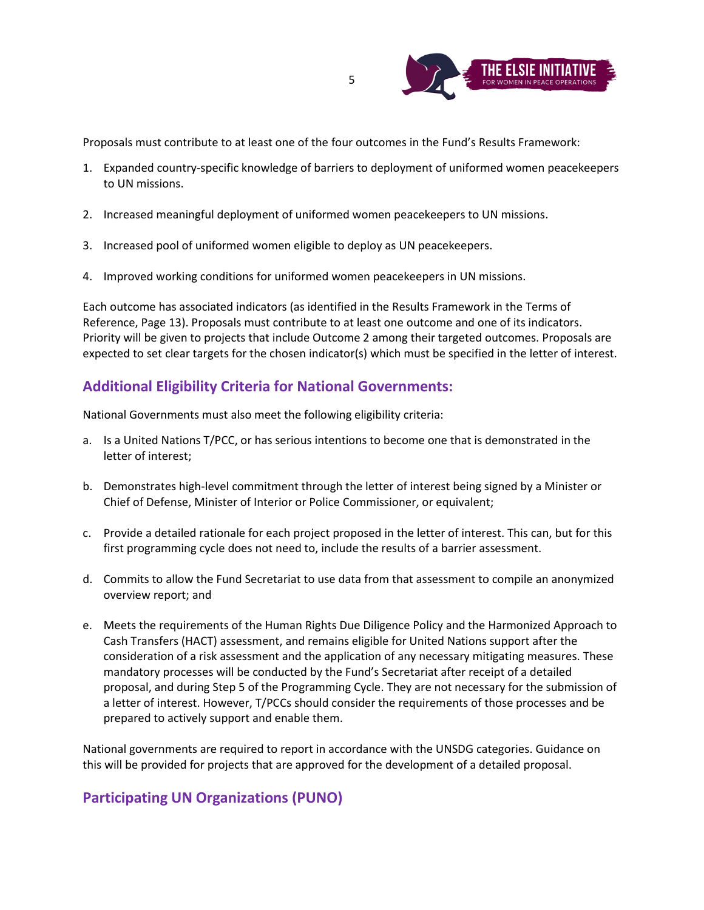

Proposals must contribute to at least one of the four outcomes in the Fund's Results Framework:

- 1. Expanded country-specific knowledge of barriers to deployment of uniformed women peacekeepers to UN missions.
- 2. Increased meaningful deployment of uniformed women peacekeepers to UN missions.
- 3. Increased pool of uniformed women eligible to deploy as UN peacekeepers.
- 4. Improved working conditions for uniformed women peacekeepers in UN missions.

Each outcome has associated indicators (as identified in the Results Framework in the Terms of Reference, Page 13). Proposals must contribute to at least one outcome and one of its indicators. Priority will be given to projects that include Outcome 2 among their targeted outcomes. Proposals are expected to set clear targets for the chosen indicator(s) which must be specified in the letter of interest.

#### **Additional Eligibility Criteria for National Governments:**

National Governments must also meet the following eligibility criteria:

- a. Is a United Nations T/PCC, or has serious intentions to become one that is demonstrated in the letter of interest;
- b. Demonstrates high-level commitment through the letter of interest being signed by a Minister or Chief of Defense, Minister of Interior or Police Commissioner, or equivalent;
- c. Provide a detailed rationale for each project proposed in the letter of interest. This can, but for this first programming cycle does not need to, include the results of a barrier assessment.
- d. Commits to allow the Fund Secretariat to use data from that assessment to compile an anonymized overview report; and
- e. Meets the requirements of the Human Rights Due Diligence Policy and the Harmonized Approach to Cash Transfers (HACT) assessment, and remains eligible for United Nations support after the consideration of a risk assessment and the application of any necessary mitigating measures. These mandatory processes will be conducted by the Fund's Secretariat after receipt of a detailed proposal, and during Step 5 of the Programming Cycle. They are not necessary for the submission of a letter of interest. However, T/PCCs should consider the requirements of those processes and be prepared to actively support and enable them.

National governments are required to report in accordance with the UNSDG categories. Guidance on this will be provided for projects that are approved for the development of a detailed proposal.

#### **Participating UN Organizations (PUNO)**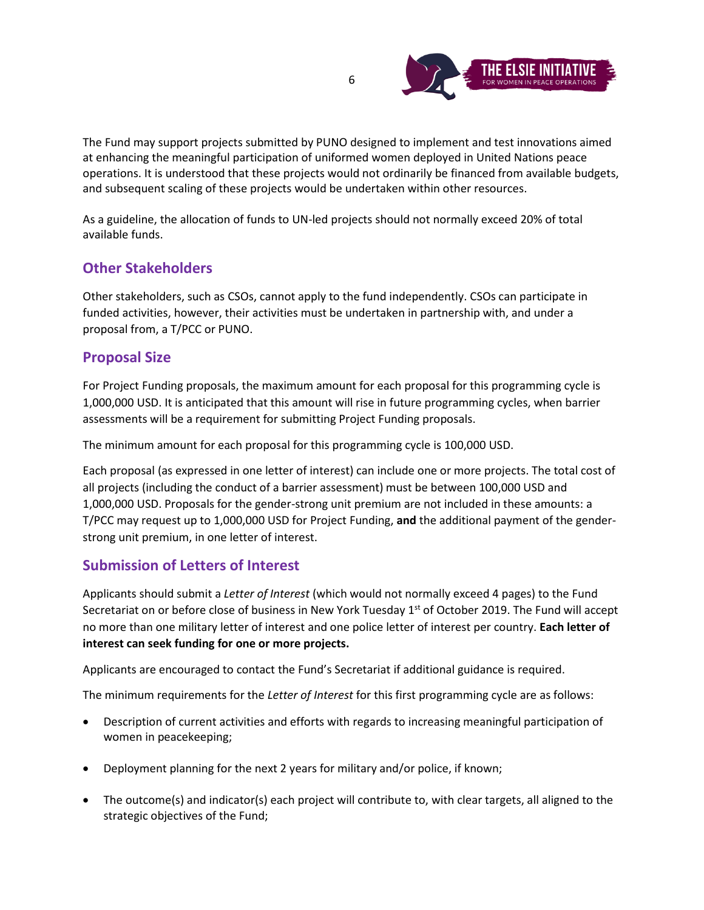

The Fund may support projects submitted by PUNO designed to implement and test innovations aimed at enhancing the meaningful participation of uniformed women deployed in United Nations peace operations. It is understood that these projects would not ordinarily be financed from available budgets, and subsequent scaling of these projects would be undertaken within other resources.

As a guideline, the allocation of funds to UN-led projects should not normally exceed 20% of total available funds.

## **Other Stakeholders**

Other stakeholders, such as CSOs, cannot apply to the fund independently. CSOs can participate in funded activities, however, their activities must be undertaken in partnership with, and under a proposal from, a T/PCC or PUNO.

#### **Proposal Size**

For Project Funding proposals, the maximum amount for each proposal for this programming cycle is 1,000,000 USD. It is anticipated that this amount will rise in future programming cycles, when barrier assessments will be a requirement for submitting Project Funding proposals.

The minimum amount for each proposal for this programming cycle is 100,000 USD.

Each proposal (as expressed in one letter of interest) can include one or more projects. The total cost of all projects (including the conduct of a barrier assessment) must be between 100,000 USD and 1,000,000 USD. Proposals for the gender-strong unit premium are not included in these amounts: a T/PCC may request up to 1,000,000 USD for Project Funding, **and** the additional payment of the genderstrong unit premium, in one letter of interest.

## **Submission of Letters of Interest**

Applicants should submit a *Letter of Interest* (which would not normally exceed 4 pages) to the Fund Secretariat on or before close of business in New York Tuesday 1<sup>st</sup> of October 2019. The Fund will accept no more than one military letter of interest and one police letter of interest per country. **Each letter of interest can seek funding for one or more projects.** 

Applicants are encouraged to contact the Fund's Secretariat if additional guidance is required.

The minimum requirements for the *Letter of Interest* for this first programming cycle are as follows:

- Description of current activities and efforts with regards to increasing meaningful participation of women in peacekeeping;
- Deployment planning for the next 2 years for military and/or police, if known;
- The outcome(s) and indicator(s) each project will contribute to, with clear targets, all aligned to the strategic objectives of the Fund;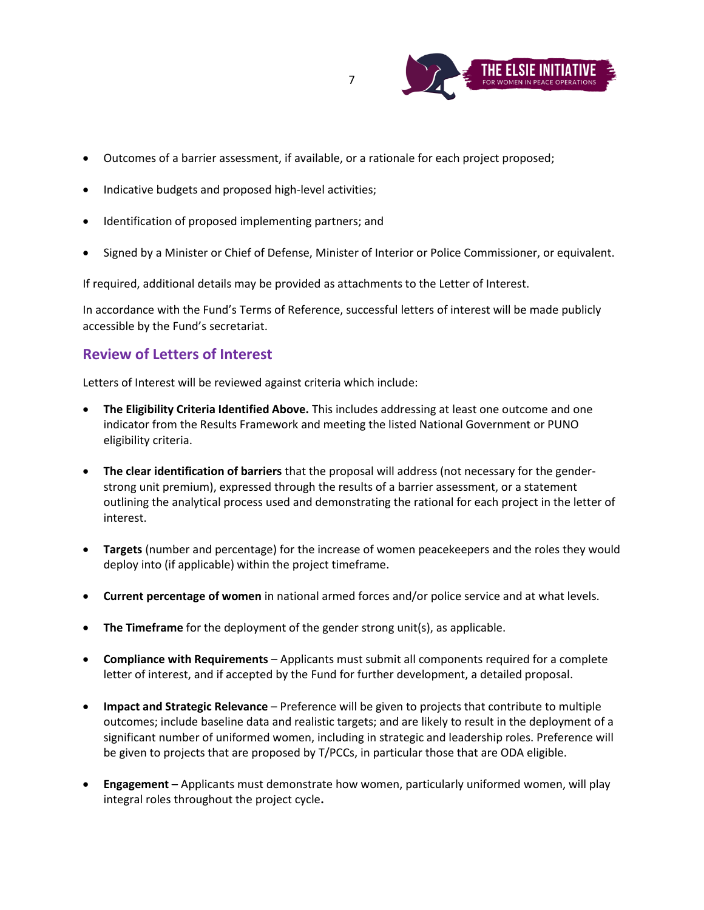

- Outcomes of a barrier assessment, if available, or a rationale for each project proposed;
- Indicative budgets and proposed high-level activities;
- Identification of proposed implementing partners; and
- Signed by a Minister or Chief of Defense, Minister of Interior or Police Commissioner, or equivalent.

If required, additional details may be provided as attachments to the Letter of Interest.

In accordance with the Fund's Terms of Reference, successful letters of interest will be made publicly accessible by the Fund's secretariat.

#### **Review of Letters of Interest**

Letters of Interest will be reviewed against criteria which include:

- **The Eligibility Criteria Identified Above.** This includes addressing at least one outcome and one indicator from the Results Framework and meeting the listed National Government or PUNO eligibility criteria.
- **The clear identification of barriers** that the proposal will address (not necessary for the genderstrong unit premium), expressed through the results of a barrier assessment, or a statement outlining the analytical process used and demonstrating the rational for each project in the letter of interest.
- **Targets** (number and percentage) for the increase of women peacekeepers and the roles they would deploy into (if applicable) within the project timeframe.
- **Current percentage of women** in national armed forces and/or police service and at what levels.
- **The Timeframe** for the deployment of the gender strong unit(s), as applicable.
- **Compliance with Requirements** Applicants must submit all components required for a complete letter of interest, and if accepted by the Fund for further development, a detailed proposal.
- **Impact and Strategic Relevance** Preference will be given to projects that contribute to multiple outcomes; include baseline data and realistic targets; and are likely to result in the deployment of a significant number of uniformed women, including in strategic and leadership roles. Preference will be given to projects that are proposed by T/PCCs, in particular those that are ODA eligible.
- **Engagement –** Applicants must demonstrate how women, particularly uniformed women, will play integral roles throughout the project cycle**.**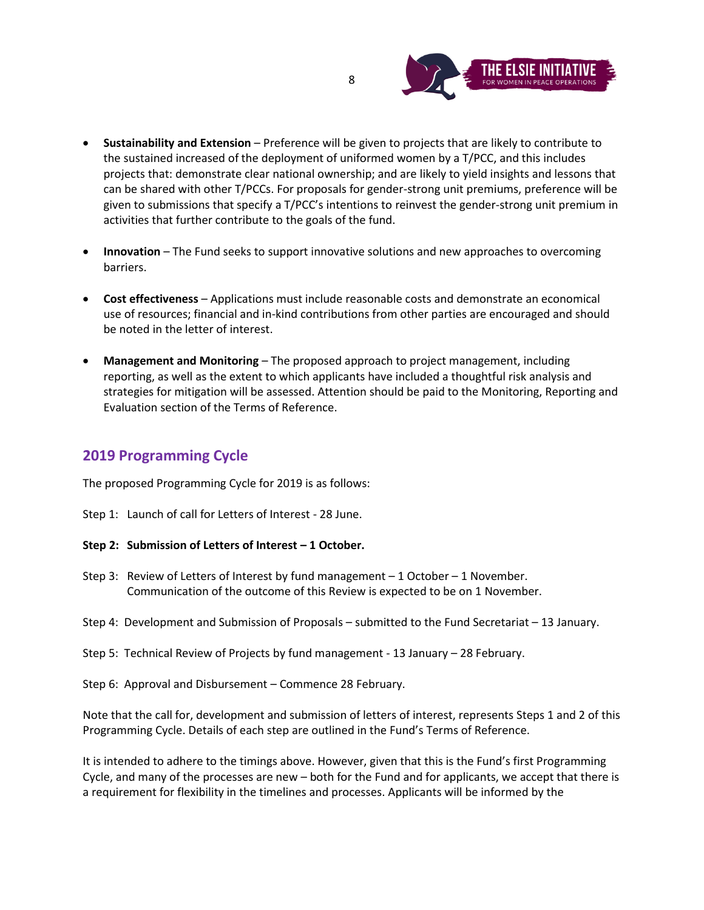

- **Sustainability and Extension**  Preference will be given to projects that are likely to contribute to the sustained increased of the deployment of uniformed women by a T/PCC, and this includes projects that: demonstrate clear national ownership; and are likely to yield insights and lessons that can be shared with other T/PCCs. For proposals for gender-strong unit premiums, preference will be given to submissions that specify a T/PCC's intentions to reinvest the gender-strong unit premium in activities that further contribute to the goals of the fund.
- **Innovation**  The Fund seeks to support innovative solutions and new approaches to overcoming barriers.
- **Cost effectiveness**  Applications must include reasonable costs and demonstrate an economical use of resources; financial and in-kind contributions from other parties are encouraged and should be noted in the letter of interest.
- **Management and Monitoring**  The proposed approach to project management, including reporting, as well as the extent to which applicants have included a thoughtful risk analysis and strategies for mitigation will be assessed. Attention should be paid to the Monitoring, Reporting and Evaluation section of the Terms of Reference.

## **2019 Programming Cycle**

The proposed Programming Cycle for 2019 is as follows:

- Step 1: Launch of call for Letters of Interest 28 June.
- **Step 2: Submission of Letters of Interest – 1 October.**
- Step 3: Review of Letters of Interest by fund management 1 October 1 November. Communication of the outcome of this Review is expected to be on 1 November.
- Step 4: Development and Submission of Proposals submitted to the Fund Secretariat 13 January.
- Step 5: Technical Review of Projects by fund management 13 January 28 February.
- Step 6: Approval and Disbursement Commence 28 February.

Note that the call for, development and submission of letters of interest, represents Steps 1 and 2 of this Programming Cycle. Details of each step are outlined in the Fund's Terms of Reference.

It is intended to adhere to the timings above. However, given that this is the Fund's first Programming Cycle, and many of the processes are new – both for the Fund and for applicants, we accept that there is a requirement for flexibility in the timelines and processes. Applicants will be informed by the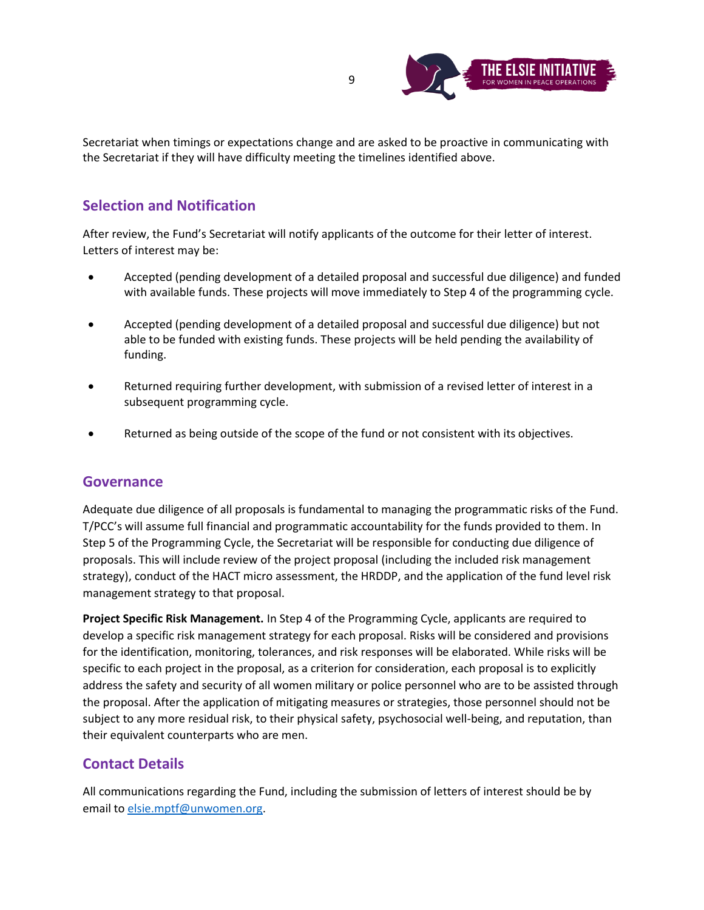

Secretariat when timings or expectations change and are asked to be proactive in communicating with the Secretariat if they will have difficulty meeting the timelines identified above.

## **Selection and Notification**

After review, the Fund's Secretariat will notify applicants of the outcome for their letter of interest. Letters of interest may be:

- Accepted (pending development of a detailed proposal and successful due diligence) and funded with available funds. These projects will move immediately to Step 4 of the programming cycle.
- Accepted (pending development of a detailed proposal and successful due diligence) but not able to be funded with existing funds. These projects will be held pending the availability of funding.
- Returned requiring further development, with submission of a revised letter of interest in a subsequent programming cycle.
- Returned as being outside of the scope of the fund or not consistent with its objectives.

#### **Governance**

Adequate due diligence of all proposals is fundamental to managing the programmatic risks of the Fund. T/PCC's will assume full financial and programmatic accountability for the funds provided to them. In Step 5 of the Programming Cycle, the Secretariat will be responsible for conducting due diligence of proposals. This will include review of the project proposal (including the included risk management strategy), conduct of the HACT micro assessment, the HRDDP, and the application of the fund level risk management strategy to that proposal.

**Project Specific Risk Management.** In Step 4 of the Programming Cycle, applicants are required to develop a specific risk management strategy for each proposal. Risks will be considered and provisions for the identification, monitoring, tolerances, and risk responses will be elaborated. While risks will be specific to each project in the proposal, as a criterion for consideration, each proposal is to explicitly address the safety and security of all women military or police personnel who are to be assisted through the proposal. After the application of mitigating measures or strategies, those personnel should not be subject to any more residual risk, to their physical safety, psychosocial well-being, and reputation, than their equivalent counterparts who are men.

#### **Contact Details**

All communications regarding the Fund, including the submission of letters of interest should be by email to [elsie.mptf@unwomen.org.](mailto:elsie.mptf@unwomen.org)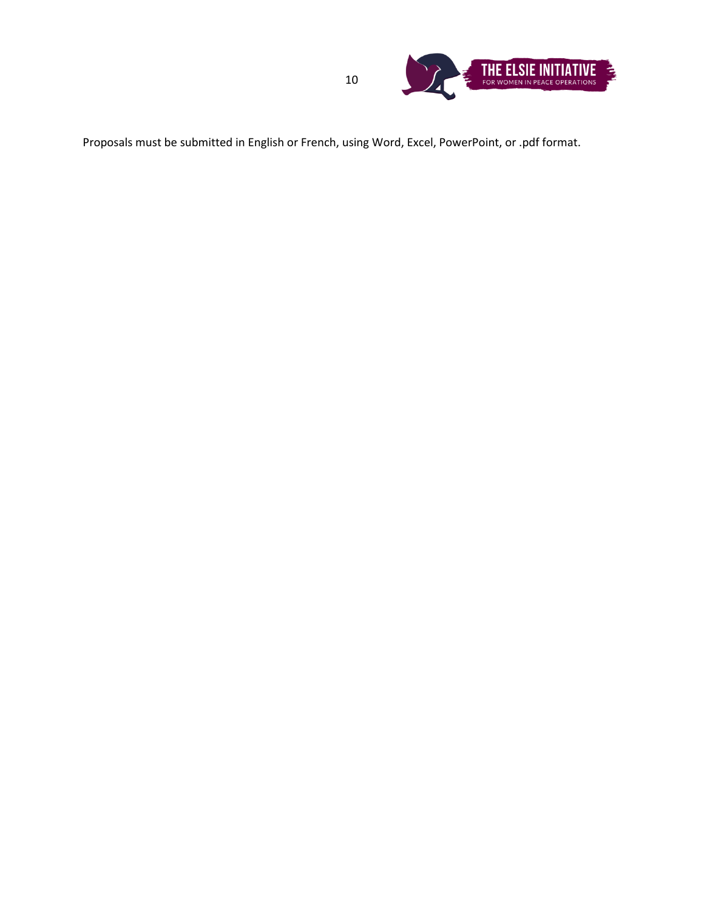

Proposals must be submitted in English or French, using Word, Excel, PowerPoint, or .pdf format.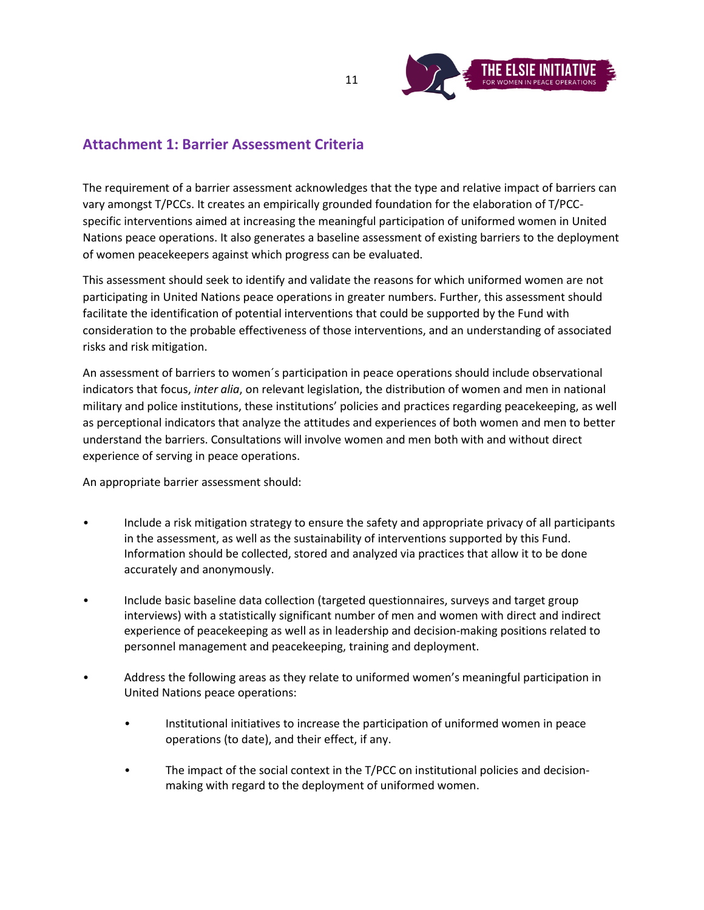

## **Attachment 1: Barrier Assessment Criteria**

The requirement of a barrier assessment acknowledges that the type and relative impact of barriers can vary amongst T/PCCs. It creates an empirically grounded foundation for the elaboration of T/PCCspecific interventions aimed at increasing the meaningful participation of uniformed women in United Nations peace operations. It also generates a baseline assessment of existing barriers to the deployment of women peacekeepers against which progress can be evaluated.

This assessment should seek to identify and validate the reasons for which uniformed women are not participating in United Nations peace operations in greater numbers. Further, this assessment should facilitate the identification of potential interventions that could be supported by the Fund with consideration to the probable effectiveness of those interventions, and an understanding of associated risks and risk mitigation.

An assessment of barriers to women´s participation in peace operations should include observational indicators that focus, *inter alia*, on relevant legislation, the distribution of women and men in national military and police institutions, these institutions' policies and practices regarding peacekeeping, as well as perceptional indicators that analyze the attitudes and experiences of both women and men to better understand the barriers. Consultations will involve women and men both with and without direct experience of serving in peace operations.

An appropriate barrier assessment should:

- Include a risk mitigation strategy to ensure the safety and appropriate privacy of all participants in the assessment, as well as the sustainability of interventions supported by this Fund. Information should be collected, stored and analyzed via practices that allow it to be done accurately and anonymously.
- Include basic baseline data collection (targeted questionnaires, surveys and target group interviews) with a statistically significant number of men and women with direct and indirect experience of peacekeeping as well as in leadership and decision-making positions related to personnel management and peacekeeping, training and deployment.
- Address the following areas as they relate to uniformed women's meaningful participation in United Nations peace operations:
	- Institutional initiatives to increase the participation of uniformed women in peace operations (to date), and their effect, if any.
	- The impact of the social context in the T/PCC on institutional policies and decisionmaking with regard to the deployment of uniformed women.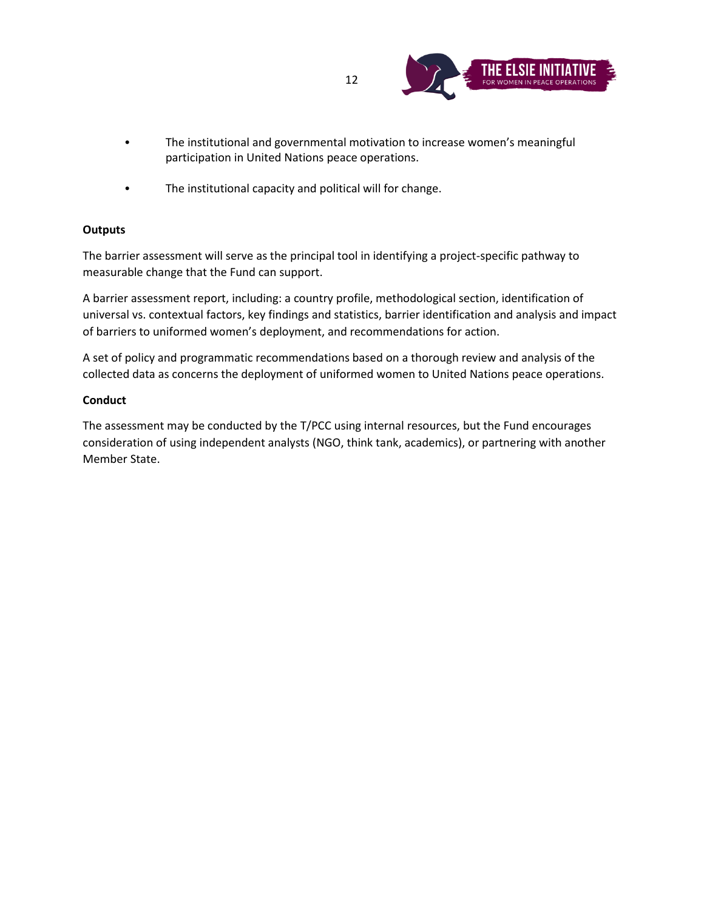

- The institutional and governmental motivation to increase women's meaningful participation in United Nations peace operations.
- The institutional capacity and political will for change.

#### **Outputs**

The barrier assessment will serve as the principal tool in identifying a project-specific pathway to measurable change that the Fund can support.

A barrier assessment report, including: a country profile, methodological section, identification of universal vs. contextual factors, key findings and statistics, barrier identification and analysis and impact of barriers to uniformed women's deployment, and recommendations for action.

A set of policy and programmatic recommendations based on a thorough review and analysis of the collected data as concerns the deployment of uniformed women to United Nations peace operations.

#### **Conduct**

The assessment may be conducted by the T/PCC using internal resources, but the Fund encourages consideration of using independent analysts (NGO, think tank, academics), or partnering with another Member State.